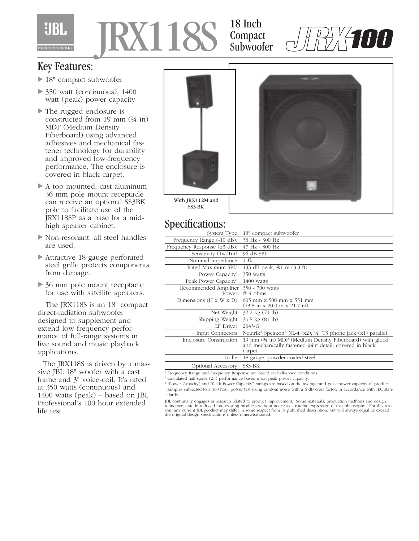

## JRX118S

18 Inch Compact Subwoofer



## Key Features:

- 18" compact subwoofer
- $\triangleright$  350 watt (continuous), 1400 watt (peak) power capacity
- ▶ The rugged enclosure is constructed from 19 mm (¾ in) MDF (Medium Density Fiberboard) using advanced adhesives and mechanical fastener technology for durability and improved low-frequency performance. The enclosure is covered in black carpet.
- A top mounted, cast aluminum 36 mm pole mount receptacle can receive an optional SS3BK pole to facilitate use of the JRX118SP as a base for a midhigh speaker cabinet.
- Non-resonant, all steel handles are used.
- Attractive 18-gauge perforated steel grille protects components from damage.
- ▶ 36 mm pole mount receptacle for use with satellite speakers.

The JRX118S is an 18" compact direct-radiation subwoofer designed to supplement and extend low frequency performance of full-range systems in live sound and music playback applications.

The JRX118S is driven by a massive JBL 18" woofer with a cast frame and 3" voice-coil. It's rated at 350 watts (continuous) and 1400 watts (peak) – based on JBL Professional's 100 hour extended life test.



Specifications:

| opeemeanono.                                                  |                                                                                                                      |
|---------------------------------------------------------------|----------------------------------------------------------------------------------------------------------------------|
|                                                               | System Type: 18" compact subwoofer                                                                                   |
| Frequency Range $(-10 \text{ dB})$ : $38 \text{ Hz}$ - 300 Hz |                                                                                                                      |
| Frequency Response $(\pm 3 \text{ dB})$ : 47 Hz - 300 Hz      |                                                                                                                      |
| Sensitivity $(1w/1m)$ : 96 dB SPL                             |                                                                                                                      |
| Nominal Impedance: $4 \Omega$                                 |                                                                                                                      |
|                                                               | Rated Maximum SPL <sup>2</sup> : 133 dB peak, @1 m (3.3 ft)                                                          |
| Power Capacity <sup>3</sup> : 350 watts                       |                                                                                                                      |
| Peak Power Capacity <sup>3</sup> : 1400 watts                 |                                                                                                                      |
| Recommended Amplifier 350 - 700 watts                         |                                                                                                                      |
|                                                               | Power: $@4$ ohms                                                                                                     |
|                                                               | Dimensions (H x W x D): $605$ mm x 508 mm x 551 mm                                                                   |
|                                                               | $(23.8 \text{ in } x\ 20.0 \text{ in } x\ 21.7 \text{ in})$                                                          |
|                                                               | Net Weight: 32.2 kg (71 lb)                                                                                          |
| Shipping Weight: 36.8 kg (81 lb)                              |                                                                                                                      |
| LF Driver: $2043-G$                                           |                                                                                                                      |
|                                                               | Input Connectors: Neutrik® Speakon® NL-4 (x2); ¼" TS phone jack (x1) parallel                                        |
| Enclosure Construction:                                       | 19 mm (34 in) MDF (Medium Density Fiberboard) with glued<br>and mechanically fastened joint detail; covered in black |
|                                                               | carpet.                                                                                                              |
| Grille:                                                       | 18-gauge, powder-coated steel                                                                                        |
| Optional Accessory: SS3-BK                                    |                                                                                                                      |

<sup>1</sup> Frequency Range and Frequency Response are based on half-space conditions.

<sup>2</sup> Calculated half-space  $(2\pi)$  performance based upon peak power capacity.

<sup>3</sup> "Power Capacity" and "Peak Power Capacity" ratings are based on the average and peak power capacity of product samples subjected to a 100 hour power test using random noise with a 6 dB crest factor, in accordance with IEC standards.

JBL continually engages in research related to product improvement. Some materials, production methods and design<br>refinements are introduced into existing products without notice as a routine expression of that philosophy. son, any current JBL product may differ in some respect from its published description, but will always equal or exceed the original design specifications unless otherwise stated.